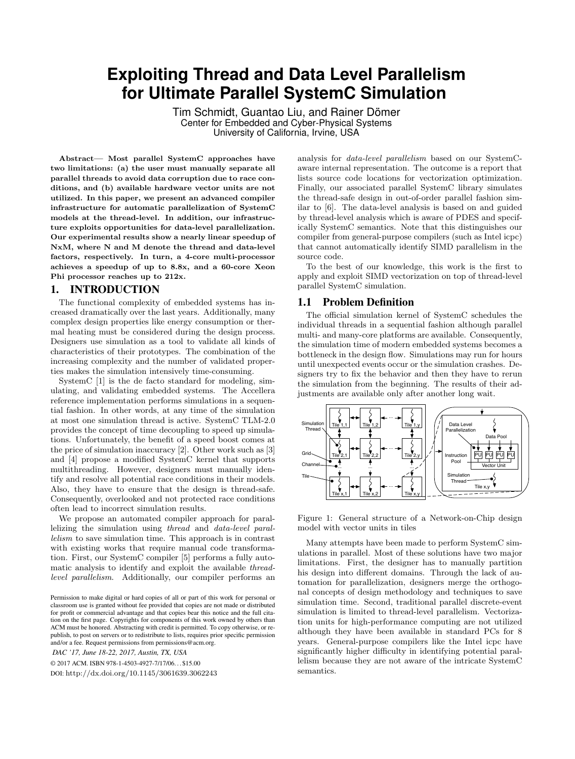# **Exploiting Thread and Data Level Parallelism for Ultimate Parallel SystemC Simulation**

Tim Schmidt, Guantao Liu, and Rainer Dömer Center for Embedded and Cyber-Physical Systems University of California, Irvine, USA

Abstract— Most parallel SystemC approaches have two limitations: (a) the user must manually separate all parallel threads to avoid data corruption due to race conditions, and (b) available hardware vector units are not utilized. In this paper, we present an advanced compiler infrastructure for automatic parallelization of SystemC models at the thread-level. In addition, our infrastructure exploits opportunities for data-level parallelization. Our experimental results show a nearly linear speedup of NxM, where N and M denote the thread and data-level factors, respectively. In turn, a 4-core multi-processor achieves a speedup of up to 8.8x, and a 60-core Xeon Phi processor reaches up to 212x.

#### 1. INTRODUCTION

The functional complexity of embedded systems has increased dramatically over the last years. Additionally, many complex design properties like energy consumption or thermal heating must be considered during the design process. Designers use simulation as a tool to validate all kinds of characteristics of their prototypes. The combination of the increasing complexity and the number of validated properties makes the simulation intensively time-consuming.

SystemC [1] is the de facto standard for modeling, simulating, and validating embedded systems. The Accellera reference implementation performs simulations in a sequential fashion. In other words, at any time of the simulation at most one simulation thread is active. SystemC TLM-2.0 provides the concept of time decoupling to speed up simulations. Unfortunately, the benefit of a speed boost comes at the price of simulation inaccuracy [2]. Other work such as [3] and [4] propose a modified SystemC kernel that supports multithreading. However, designers must manually identify and resolve all potential race conditions in their models. Also, they have to ensure that the design is thread-safe. Consequently, overlooked and not protected race conditions often lead to incorrect simulation results.

We propose an automated compiler approach for parallelizing the simulation using thread and data-level parallelism to save simulation time. This approach is in contrast with existing works that require manual code transformation. First, our SystemC compiler [5] performs a fully automatic analysis to identify and exploit the available threadlevel parallelism. Additionally, our compiler performs an

Permission to make digital or hard copies of all or part of this work for personal or classroom use is granted without fee provided that copies are not made or distributed for profit or commercial advantage and that copies bear this notice and the full citation on the first page. Copyrights for components of this work owned by others than ACM must be honored. Abstracting with credit is permitted. To copy otherwise, or republish, to post on servers or to redistribute to lists, requires prior specific permission and/or a fee. Request permissions from permissions@acm.org.

*DAC '17, June 18-22, 2017, Austin, TX, USA* © 2017 ACM. ISBN 978-1-4503-4927-7/17/06. . . \$15.00

DOI: http://dx.doi.org/10.1145/3061639.3062243

analysis for data-level parallelism based on our SystemCaware internal representation. The outcome is a report that lists source code locations for vectorization optimization. Finally, our associated parallel SystemC library simulates the thread-safe design in out-of-order parallel fashion similar to [6]. The data-level analysis is based on and guided by thread-level analysis which is aware of PDES and specifically SystemC semantics. Note that this distinguishes our compiler from general-purpose compilers (such as Intel icpc) that cannot automatically identify SIMD parallelism in the source code.

To the best of our knowledge, this work is the first to apply and exploit SIMD vectorization on top of thread-level parallel SystemC simulation.

# 1.1 Problem Definition

The official simulation kernel of SystemC schedules the individual threads in a sequential fashion although parallel multi- and many-core platforms are available. Consequently, the simulation time of modern embedded systems becomes a bottleneck in the design flow. Simulations may run for hours until unexpected events occur or the simulation crashes. Designers try to fix the behavior and then they have to rerun the simulation from the beginning. The results of their adjustments are available only after another long wait.



Figure 1: General structure of a Network-on-Chip design model with vector units in tiles

Many attempts have been made to perform SystemC simulations in parallel. Most of these solutions have two major limitations. First, the designer has to manually partition his design into different domains. Through the lack of automation for parallelization, designers merge the orthogonal concepts of design methodology and techniques to save simulation time. Second, traditional parallel discrete-event simulation is limited to thread-level parallelism. Vectorization units for high-performance computing are not utilized although they have been available in standard PCs for 8 years. General-purpose compilers like the Intel icpc have significantly higher difficulty in identifying potential parallelism because they are not aware of the intricate SystemC semantics.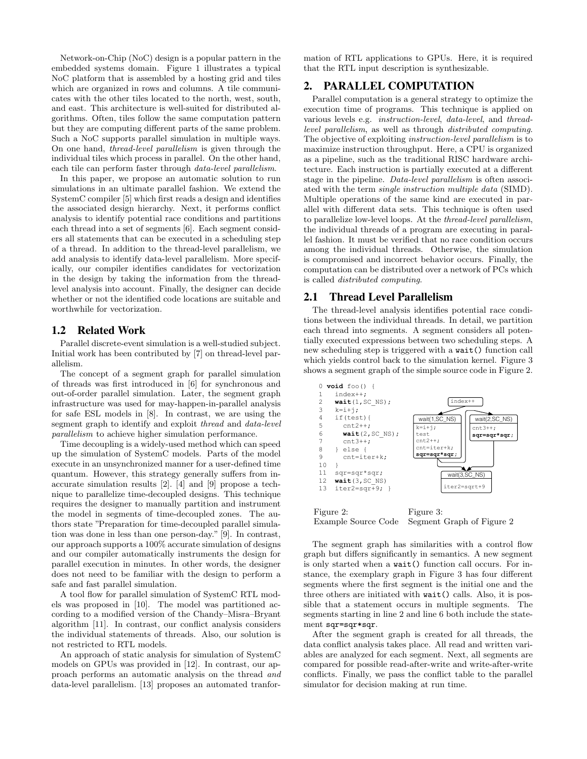Network-on-Chip (NoC) design is a popular pattern in the embedded systems domain. Figure 1 illustrates a typical NoC platform that is assembled by a hosting grid and tiles which are organized in rows and columns. A tile communicates with the other tiles located to the north, west, south, and east. This architecture is well-suited for distributed algorithms. Often, tiles follow the same computation pattern but they are computing different parts of the same problem. Such a NoC supports parallel simulation in multiple ways. On one hand, thread-level parallelism is given through the individual tiles which process in parallel. On the other hand, each tile can perform faster through data-level parallelism.

In this paper, we propose an automatic solution to run simulations in an ultimate parallel fashion. We extend the SystemC compiler [5] which first reads a design and identifies the associated design hierarchy. Next, it performs conflict analysis to identify potential race conditions and partitions each thread into a set of segments [6]. Each segment considers all statements that can be executed in a scheduling step of a thread. In addition to the thread-level parallelism, we add analysis to identify data-level parallelism. More specifically, our compiler identifies candidates for vectorization in the design by taking the information from the threadlevel analysis into account. Finally, the designer can decide whether or not the identified code locations are suitable and worthwhile for vectorization.

#### 1.2 Related Work

Parallel discrete-event simulation is a well-studied subject. Initial work has been contributed by [7] on thread-level parallelism.

The concept of a segment graph for parallel simulation of threads was first introduced in [6] for synchronous and out-of-order parallel simulation. Later, the segment graph infrastructure was used for may-happen-in-parallel analysis for safe ESL models in [8]. In contrast, we are using the segment graph to identify and exploit thread and data-level parallelism to achieve higher simulation performance.

Time decoupling is a widely-used method which can speed up the simulation of SystemC models. Parts of the model execute in an unsynchronized manner for a user-defined time quantum. However, this strategy generally suffers from inaccurate simulation results [2]. [4] and [9] propose a technique to parallelize time-decoupled designs. This technique requires the designer to manually partition and instrument the model in segments of time-decoupled zones. The authors state "Preparation for time-decoupled parallel simulation was done in less than one person-day." [9]. In contrast, our approach supports a 100% accurate simulation of designs and our compiler automatically instruments the design for parallel execution in minutes. In other words, the designer does not need to be familiar with the design to perform a safe and fast parallel simulation.

A tool flow for parallel simulation of SystemC RTL models was proposed in [10]. The model was partitioned according to a modified version of the Chandy–Misra–Bryant algorithm [11]. In contrast, our conflict analysis considers the individual statements of threads. Also, our solution is not restricted to RTL models.

An approach of static analysis for simulation of SystemC models on GPUs was provided in [12]. In contrast, our approach performs an automatic analysis on the thread and data-level parallelism. [13] proposes an automated tranformation of RTL applications to GPUs. Here, it is required that the RTL input description is synthesizable.

# 2. PARALLEL COMPUTATION

Parallel computation is a general strategy to optimize the execution time of programs. This technique is applied on various levels e.g. instruction-level, data-level, and threadlevel parallelism, as well as through distributed computing. The objective of exploiting instruction-level parallelism is to maximize instruction throughput. Here, a CPU is organized as a pipeline, such as the traditional RISC hardware architecture. Each instruction is partially executed at a different stage in the pipeline. Data-level parallelism is often associated with the term single instruction multiple data (SIMD). Multiple operations of the same kind are executed in parallel with different data sets. This technique is often used to parallelize low-level loops. At the thread-level parallelism, the individual threads of a program are executing in parallel fashion. It must be verified that no race condition occurs among the individual threads. Otherwise, the simulation is compromised and incorrect behavior occurs. Finally, the computation can be distributed over a network of PCs which is called distributed computing.

# 2.1 Thread Level Parallelism

The thread-level analysis identifies potential race conditions between the individual threads. In detail, we partition each thread into segments. A segment considers all potentially executed expressions between two scheduling steps. A new scheduling step is triggered with a wait() function call which yields control back to the simulation kernel. Figure 3 shows a segment graph of the simple source code in Figure 2.



Example Source Code Segment Graph of Figure 2

The segment graph has similarities with a control flow graph but differs significantly in semantics. A new segment is only started when a wait() function call occurs. For instance, the exemplary graph in Figure 3 has four different segments where the first segment is the initial one and the three others are initiated with wait() calls. Also, it is possible that a statement occurs in multiple segments. The segments starting in line 2 and line 6 both include the statement sqr=sqr\*sqr.

After the segment graph is created for all threads, the data conflict analysis takes place. All read and written variables are analyzed for each segment. Next, all segments are compared for possible read-after-write and write-after-write conflicts. Finally, we pass the conflict table to the parallel simulator for decision making at run time.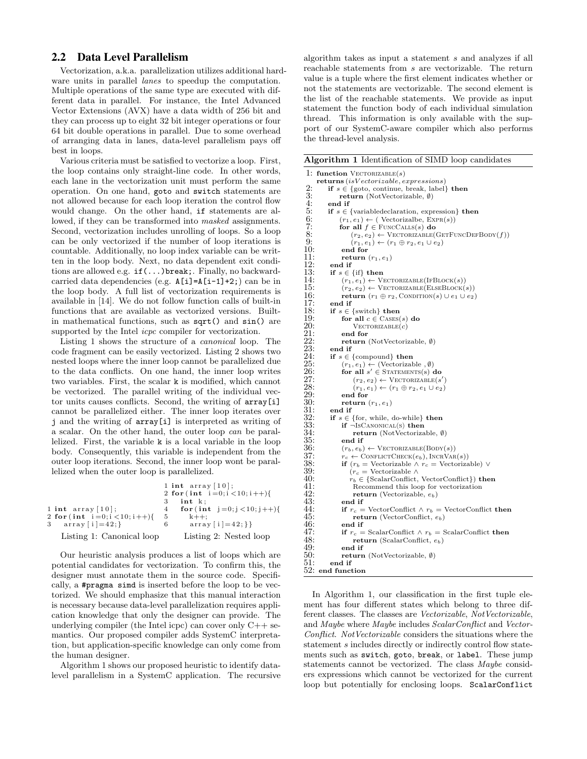# 2.2 Data Level Parallelism

Vectorization, a.k.a. parallelization utilizes additional hardware units in parallel *lanes* to speedup the computation. Multiple operations of the same type are executed with different data in parallel. For instance, the Intel Advanced Vector Extensions (AVX) have a data width of 256 bit and they can process up to eight 32 bit integer operations or four 64 bit double operations in parallel. Due to some overhead of arranging data in lanes, data-level parallelism pays off best in loops.

Various criteria must be satisfied to vectorize a loop. First, the loop contains only straight-line code. In other words, each lane in the vectorization unit must perform the same operation. On one hand, goto and switch statements are not allowed because for each loop iteration the control flow would change. On the other hand, if statements are allowed, if they can be transformed into masked assignments. Second, vectorization includes unrolling of loops. So a loop can be only vectorized if the number of loop iterations is countable. Additionally, no loop index variable can be written in the loop body. Next, no data dependent exit conditions are allowed e.g. if(...)break;. Finally, no backwardcarried data dependencies (e.g. A[i]=A[i-1]+2;) can be in the loop body. A full list of vectorization requirements is available in [14]. We do not follow function calls of built-in functions that are available as vectorized versions. Builtin mathematical functions, such as sqrt() and sin() are supported by the Intel *icpc* compiler for vectorization.

Listing 1 shows the structure of a canonical loop. The code fragment can be easily vectorized. Listing 2 shows two nested loops where the inner loop cannot be parallelized due to the data conflicts. On one hand, the inner loop writes two variables. First, the scalar k is modified, which cannot be vectorized. The parallel writing of the individual vector units causes conflicts. Second, the writing of array[i] cannot be parallelized either. The inner loop iterates over j and the writing of array[i] is interpreted as writing of a scalar. On the other hand, the outer loop can be parallelized. First, the variable k is a local variable in the loop body. Consequently, this variable is independent from the outer loop iterations. Second, the inner loop wont be parallelized when the outer loop is parallelized.

|                                    |    | 1 int $array[10];$             |
|------------------------------------|----|--------------------------------|
|                                    |    | 2 for $(int i=0; i < 10; i++)$ |
|                                    |    | int k:                         |
| $1$ int array $\lceil 10 \rceil$ ; | 4  | for $(int j=0; j < 10; j++)$   |
| 2 for $(int i=0; i < 10; i++)$     | 5. | $k++$                          |
| 3 $\arctan  i =42;$                | 6  | $array[i]=42;\}$               |
| Listing 1: Canonical loop          |    | Listing 2: Nested loop         |

Our heuristic analysis produces a list of loops which are potential candidates for vectorization. To confirm this, the designer must annotate them in the source code. Specifically, a #pragma simd is inserted before the loop to be vectorized. We should emphasize that this manual interaction is necessary because data-level parallelization requires application knowledge that only the designer can provide. The underlying compiler (the Intel icpc) can cover only C++ semantics. Our proposed compiler adds SystemC interpretation, but application-specific knowledge can only come from the human designer.

Algorithm 1 shows our proposed heuristic to identify datalevel parallelism in a SystemC application. The recursive algorithm takes as input a statement s and analyzes if all reachable statements from s are vectorizable. The return value is a tuple where the first element indicates whether or not the statements are vectorizable. The second element is the list of the reachable statements. We provide as input statement the function body of each individual simulation thread. This information is only available with the support of our SystemC-aware compiler which also performs the thread-level analysis.

Algorithm 1 Identification of SIMD loop candidates

```
1: function VECTORIZABLE(s)returns (isV ectorizable, expressions)
 2: if s \in \{\text{goto}, \text{continue}, \text{break}, \text{label}\} then<br>3: if s \in \{\text{goto}, \text{continue}, \text{break}, \text{label}\} then
 3: return (NotVectorizable, Ø)<br>4: end if
 4: end if<br>5: if s \in5: if s \in \{\text{variable declaration}, \text{expression}\} then<br>6: (r_1, e_1) \leftarrow (\text{Vectorizable}, \text{EXPR}(s))6: (r_1, e_1) \leftarrow (Vectorizalbe, EXPR(s))<br>7: for all f \in \text{FuncCALLS}(s) do
7: for all f \in \text{FuncCALs}(s) do<br>8: (r_2, e_2) \leftarrow \text{VectorRZABLE}(0)<br>9: (r_1, e_1) \leftarrow (r_1 \oplus r_2, e_1 \cup e_2)(r_2, e_2) \leftarrow VECTORIZABLE(GETFUNCDEFBODY(f))
9: (r_1, e_1) \leftarrow (r_1 \oplus r_2, e_1 \cup e_2)<br>10: end for
10: end for<br>11: return
11: return (r_1, e_1)<br>12: end if
\begin{array}{ll} 12: & \textbf{end if} \ 13: & \textbf{if } s \in \end{array}13: if s \in \{\text{if}\} then<br>14: (r_1, e_1) \leftarrow V_114: (r_1, e_1) \leftarrow \text{VectorRIZABLE}(\text{IFBlock}(s))<br>15: (r_2, e_2) \leftarrow \text{VectorRIZABLE}(\text{ELEBLock})15: (r_2, e_2) \leftarrow \text{VectorZABLE}(\text{ELEBLOCK}(s))<br>16: return (r_1 \oplus r_2, \text{ConDITION}(s) \cup e_1 \cup e_2)16: return (r_1 \oplus r_2, \text{Comptron}(s) \cup e_1 \cup e_2)<br>17: end if
17: end if<br>18: if s \in18: if s \in \{\text{switch}\}\ \text{then}<br>19: for all c \in \text{Cases}19: for all c \in \text{CASES}(s) do 20: \text{VECTORIZABLE}(c)20: V_{ECTORIZABLE}(c)<br>
21: end for<br>
22: return (NotVectori
                      end for
22: return (NotVectorizable, Ø)<br>23: end if
23: end if<br>24: if s \in24: if s \in \{\text{compound}\}\) then<br>25: (r_1, e_1) \leftarrow (\text{Vectorizal})25: (r_1, e_1) \leftarrow (\text{Vectorizable}, \emptyset)<br>
26: for all s' \in \text{STATEMENTS(s)} do
 27: (r_2, e_2) \leftarrow \text{VectorRIZABLE}(s')27: (r_2, e_2) \leftarrow \text{VectorRIZABLE}(s')<br>
28: (r_1, e_1) \leftarrow (r_1 \oplus r_2, e_1 \cup e_2)<br>
29: end for
29: end for 30: return
30: return (r_1, e_1)<br>31: end if
31: end if<br>32: if s \in32: if s \in \{\text{for, while, do-while}\}\) then 33: if \neg \text{ISCANONICAL}(s) then
34: return (NotVectorizable, Ø)<br>35: end if<br>36: (r_b, e_b) \leftarrow VECTORIZABLE (BODY)
                      35: end if
36: (r_b, e_b) \leftarrow \text{VectorRIABLE}(\text{Boby}(s))<br>
37: r_c \leftarrow \text{CONELICTCHECK}(e_b), \text{INCRVAR}<br>
38: if (r_b = \text{Vectorizable} \land r_c = \text{Vector} \land r_c)\leftarrow CONFLICTCHECK(e_b), INCRVAR(s))
38: if (r_b = \text{Vectorizable} \land r_c = \text{Vectorizable}) \lor (r_c = \text{Vectorizable} \land \text{S}39: (r_c = \text{Vectorizable } \wedge<br>40: r_b \in \{\text{ScalarConfict},\}40: r_b \in \{ScalarConflict, VectorConflict\} then 41: Recommend this loop for vectorization
41: Recommend this loop for vectorization 42: return (Vectorizable, e_h)
42: return (Vectorizable, e_b)<br>43: end if<br>44: if r_c = VectorConflict \wedge r_b:
                      end if
44: if r_c = VectorConflict \land r_b = VectorConflict then<br>45: return (VectorConflict, e_b)
45: return (VectorConflict, e_b)<br>46: end if
46: end if<br>47: if r_c =47: if r_c = ScalarConflict \wedge r_b = ScalarConflict then 48: return (ScalarConflict, e_b)
48: return (ScalarConflict, e_b)<br>49: end if
\begin{array}{cc} 49: & \text{end if} \\ 50: & \text{return} \end{array}50: return (NotVectorizable, Ø)<br>51: end if
               end if
52: end function
```
In Algorithm 1, our classification in the first tuple element has four different states which belong to three different classes. The classes are Vectorizable, NotVectorizable, and Maybe where Maybe includes ScalarConflict and Vector-Conflict. NotVectorizable considers the situations where the statement s includes directly or indirectly control flow statements such as switch, goto, break, or label. These jump statements cannot be vectorized. The class Maybe considers expressions which cannot be vectorized for the current loop but potentially for enclosing loops. ScalarConflict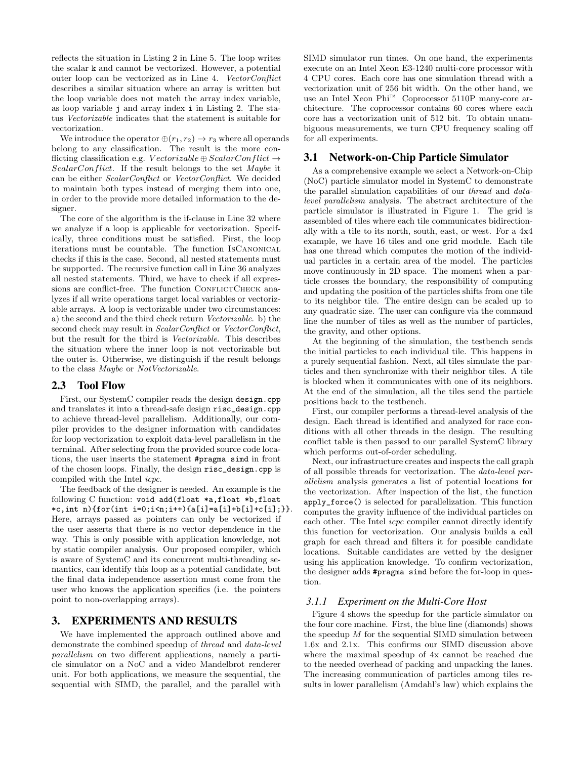reflects the situation in Listing 2 in Line 5. The loop writes the scalar k and cannot be vectorized. However, a potential outer loop can be vectorized as in Line 4. VectorConflict describes a similar situation where an array is written but the loop variable does not match the array index variable, as loop variable j and array index i in Listing 2. The status Vectorizable indicates that the statement is suitable for vectorization.

We introduce the operator  $\oplus (r_1, r_2) \rightarrow r_3$  where all operands belong to any classification. The result is the more conflicting classification e.g. Vectorizable  $\oplus$  ScalarConflict  $\rightarrow$  $ScalarConflict$ . If the result belongs to the set Maybe it can be either ScalarConflict or VectorConflict. We decided to maintain both types instead of merging them into one, in order to the provide more detailed information to the designer.

The core of the algorithm is the if-clause in Line 32 where we analyze if a loop is applicable for vectorization. Specifically, three conditions must be satisfied. First, the loop iterations must be countable. The function IsCanonical checks if this is the case. Second, all nested statements must be supported. The recursive function call in Line 36 analyzes all nested statements. Third, we have to check if all expressions are conflict-free. The function CONFLICTCHECK analyzes if all write operations target local variables or vectorizable arrays. A loop is vectorizable under two circumstances: a) the second and the third check return Vectorizable. b) the second check may result in ScalarConflict or VectorConflict, but the result for the third is Vectorizable. This describes the situation where the inner loop is not vectorizable but the outer is. Otherwise, we distinguish if the result belongs to the class Maybe or NotVectorizable.

#### 2.3 Tool Flow

First, our SystemC compiler reads the design design.cpp and translates it into a thread-safe design risc\_design.cpp to achieve thread-level parallelism. Additionally, our compiler provides to the designer information with candidates for loop vectorization to exploit data-level parallelism in the terminal. After selecting from the provided source code locations, the user inserts the statement #pragma simd in front of the chosen loops. Finally, the design risc\_design.cpp is compiled with the Intel icpc.

The feedback of the designer is needed. An example is the following C function: void add(float \*a,float \*b,float \*c,int n){for(int i=0;i<n;i++){a[i]=a[i]+b[i]+c[i];}}. Here, arrays passed as pointers can only be vectorized if the user asserts that there is no vector dependence in the way. This is only possible with application knowledge, not by static compiler analysis. Our proposed compiler, which is aware of SystemC and its concurrent multi-threading semantics, can identify this loop as a potential candidate, but the final data independence assertion must come from the user who knows the application specifics (i.e. the pointers point to non-overlapping arrays).

#### 3. EXPERIMENTS AND RESULTS

We have implemented the approach outlined above and demonstrate the combined speedup of thread and data-level parallelism on two different applications, namely a particle simulator on a NoC and a video Mandelbrot renderer unit. For both applications, we measure the sequential, the sequential with SIMD, the parallel, and the parallel with

SIMD simulator run times. On one hand, the experiments execute on an Intel Xeon E3-1240 multi-core processor with 4 CPU cores. Each core has one simulation thread with a vectorization unit of 256 bit width. On the other hand, we use an Intel Xeon Phi™ Coprocessor 5110P many-core architecture. The coprocessor contains 60 cores where each core has a vectorization unit of 512 bit. To obtain unambiguous measurements, we turn CPU frequency scaling off for all experiments.

# 3.1 Network-on-Chip Particle Simulator

As a comprehensive example we select a Network-on-Chip (NoC) particle simulator model in SystemC to demonstrate the parallel simulation capabilities of our thread and datalevel parallelism analysis. The abstract architecture of the particle simulator is illustrated in Figure 1. The grid is assembled of tiles where each tile communicates bidirectionally with a tile to its north, south, east, or west. For a 4x4 example, we have 16 tiles and one grid module. Each tile has one thread which computes the motion of the individual particles in a certain area of the model. The particles move continuously in 2D space. The moment when a particle crosses the boundary, the responsibility of computing and updating the position of the particles shifts from one tile to its neighbor tile. The entire design can be scaled up to any quadratic size. The user can configure via the command line the number of tiles as well as the number of particles, the gravity, and other options.

At the beginning of the simulation, the testbench sends the initial particles to each individual tile. This happens in a purely sequential fashion. Next, all tiles simulate the particles and then synchronize with their neighbor tiles. A tile is blocked when it communicates with one of its neighbors. At the end of the simulation, all the tiles send the particle positions back to the testbench.

First, our compiler performs a thread-level analysis of the design. Each thread is identified and analyzed for race conditions with all other threads in the design. The resulting conflict table is then passed to our parallel SystemC library which performs out-of-order scheduling.

Next, our infrastructure creates and inspects the call graph of all possible threads for vectorization. The data-level parallelism analysis generates a list of potential locations for the vectorization. After inspection of the list, the function apply\_force() is selected for parallelization. This function computes the gravity influence of the individual particles on each other. The Intel icpc compiler cannot directly identify this function for vectorization. Our analysis builds a call graph for each thread and filters it for possible candidate locations. Suitable candidates are vetted by the designer using his application knowledge. To confirm vectorization, the designer adds #pragma simd before the for-loop in question.

#### *3.1.1 Experiment on the Multi-Core Host*

Figure 4 shows the speedup for the particle simulator on the four core machine. First, the blue line (diamonds) shows the speedup  $M$  for the sequential SIMD simulation between 1.6x and 2.1x. This confirms our SIMD discussion above where the maximal speedup of 4x cannot be reached due to the needed overhead of packing and unpacking the lanes. The increasing communication of particles among tiles results in lower parallelism (Amdahl's law) which explains the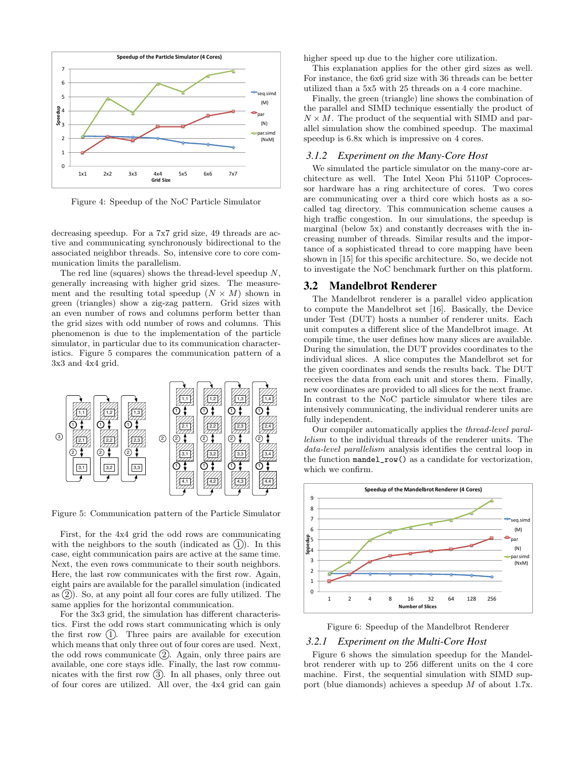

Figure 4: Speedup of the NoC Particle Simulator

decreasing speedup. For a 7x7 grid size, 49 threads are active and communicating synchronously bidirectional to the associated neighbor threads. So, intensive core to core communication limits the parallelism.

The red line (squares) shows the thread-level speedup N, generally increasing with higher grid sizes. The measurement and the resulting total speedup  $(N \times M)$  shown in green (triangles) show a zig-zag pattern. Grid sizes with an even number of rows and columns perform better than the grid sizes with odd number of rows and columns. This phenomenon is due to the implementation of the particle simulator, in particular due to its communication characteristics. Figure 5 compares the communication pattern of a 3x3 and 4x4 grid.



Figure 5: Communication pattern of the Particle Simulator

First, for the 4x4 grid the odd rows are communicating with the neighbors to the south (indicated as  $(1)$ ). In this case, eight communication pairs are active at the same time. Next, the even rows communicate to their south neighbors. Here, the last row communicates with the first row. Again, eight pairs are available for the parallel simulation (indicated as  $(2)$ ). So, at any point all four cores are fully utilized. The same applies for the horizontal communication.

For the 3x3 grid, the simulation has different characteristics. First the odd rows start communicating which is only the first row  $(1)$ . Three pairs are available for execution which means that only three out of four cores are used. Next, the odd rows communicate  $(2)$ . Again, only three pairs are available, one core stays idle. Finally, the last row communicates with the first row  $(3)$ . In all phases, only three out of four cores are utilized. All over, the 4x4 grid can gain

higher speed up due to the higher core utilization.

This explanation applies for the other gird sizes as well. For instance, the 6x6 grid size with 36 threads can be better utilized than a 5x5 with 25 threads on a 4 core machine.

Finally, the green (triangle) line shows the combination of the parallel and SIMD technique essentially the product of  $N \times M$ . The product of the sequential with SIMD and parallel simulation show the combined speedup. The maximal speedup is 6.8x which is impressive on 4 cores.

#### *3.1.2 Experiment on the Many-Core Host*

We simulated the particle simulator on the many-core architecture as well. The Intel Xeon Phi 5110P Coprocessor hardware has a ring architecture of cores. Two cores are communicating over a third core which hosts as a socalled tag directory. This communication scheme causes a high traffic congestion. In our simulations, the speedup is marginal (below 5x) and constantly decreases with the increasing number of threads. Similar results and the importance of a sophisticated thread to core mapping have been shown in [15] for this specific architecture. So, we decide not to investigate the NoC benchmark further on this platform.

#### 3.2 Mandelbrot Renderer

The Mandelbrot renderer is a parallel video application to compute the Mandelbrot set [16]. Basically, the Device under Test (DUT) hosts a number of renderer units. Each unit computes a different slice of the Mandelbrot image. At compile time, the user defines how many slices are available. During the simulation, the DUT provides coordinates to the individual slices. A slice computes the Mandelbrot set for the given coordinates and sends the results back. The DUT receives the data from each unit and stores them. Finally, new coordinates are provided to all slices for the next frame. In contrast to the NoC particle simulator where tiles are intensively communicating, the individual renderer units are fully independent.

Our compiler automatically applies the thread-level parallelism to the individual threads of the renderer units. The data-level parallelism analysis identifies the central loop in the function mandel\_row() as a candidate for vectorization, which we confirm.



Figure 6: Speedup of the Mandelbrot Renderer

#### *3.2.1 Experiment on the Multi-Core Host*

Figure 6 shows the simulation speedup for the Mandelbrot renderer with up to 256 different units on the 4 core machine. First, the sequential simulation with SIMD support (blue diamonds) achieves a speedup M of about 1.7x.